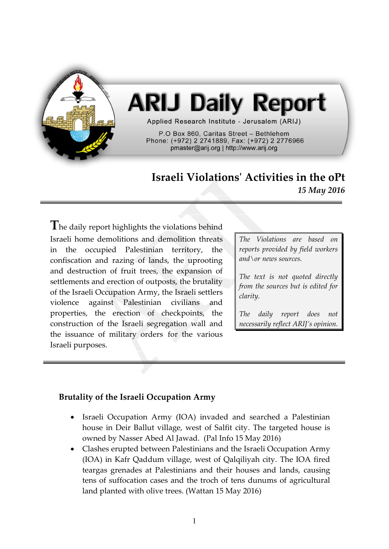

# **ARIJ Daily Report**

Applied Research Institute - Jerusalem (ARIJ)

P.O Box 860, Caritas Street - Bethlehem Phone: (+972) 2 2741889, Fax: (+972) 2 2776966 pmaster@arij.org | http://www.arij.org

## **Israeli Violations' Activities in the oPt** *15 May 2016*

**T**he daily report highlights the violations behind Israeli home demolitions and demolition threats in the occupied Palestinian territory, the confiscation and razing of lands, the uprooting and destruction of fruit trees, the expansion of settlements and erection of outposts, the brutality of the Israeli Occupation Army, the Israeli settlers violence against Palestinian civilians and properties, the erection of checkpoints, the construction of the Israeli segregation wall and the issuance of military orders for the various Israeli purposes.

*The Violations are based on reports provided by field workers and\or news sources.*

*The text is not quoted directly from the sources but is edited for clarity.*

*The daily report does not necessarily reflect ARIJ's opinion.*

#### **Brutality of the Israeli Occupation Army**

- Israeli Occupation Army (IOA) invaded and searched a Palestinian house in Deir Ballut village, west of Salfit city. The targeted house is owned by Nasser Abed Al Jawad. (Pal Info 15 May 2016)
- Clashes erupted between Palestinians and the Israeli Occupation Army (IOA) in Kafr Qaddum village, west of Qalqiliyah city. The IOA fired teargas grenades at Palestinians and their houses and lands, causing tens of suffocation cases and the troch of tens dunums of agricultural land planted with olive trees. (Wattan 15 May 2016)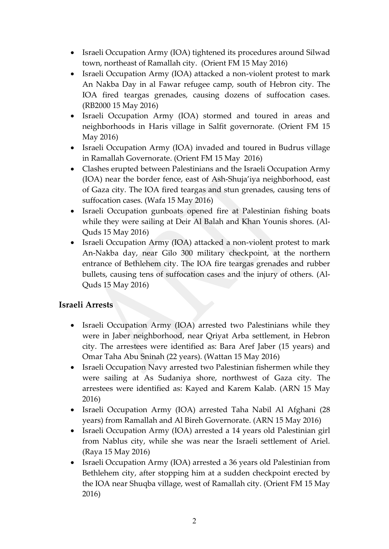- Israeli Occupation Army (IOA) tightened its procedures around Silwad town, northeast of Ramallah city. (Orient FM 15 May 2016)
- Israeli Occupation Army (IOA) attacked a non-violent protest to mark An Nakba Day in al Fawar refugee camp, south of Hebron city. The IOA fired teargas grenades, causing dozens of suffocation cases. (RB2000 15 May 2016)
- Israeli Occupation Army (IOA) stormed and toured in areas and neighborhoods in Haris village in Salfit governorate. (Orient FM 15 May 2016)
- Israeli Occupation Army (IOA) invaded and toured in Budrus village in Ramallah Governorate. (Orient FM 15 May 2016)
- Clashes erupted between Palestinians and the Israeli Occupation Army (IOA) near the border fence, east of Ash-Shuja'iya neighborhood, east of Gaza city. The IOA fired teargas and stun grenades, causing tens of suffocation cases. (Wafa 15 May 2016)
- Israeli Occupation gunboats opened fire at Palestinian fishing boats while they were sailing at Deir Al Balah and Khan Younis shores. (Al-Quds 15 May 2016)
- Israeli Occupation Army (IOA) attacked a non-violent protest to mark An-Nakba day, near Gilo 300 military checkpoint, at the northern entrance of Bethlehem city. The IOA fire teargas grenades and rubber bullets, causing tens of suffocation cases and the injury of others. (Al-Quds 15 May 2016)

#### **Israeli Arrests**

- Israeli Occupation Army (IOA) arrested two Palestinians while they were in Jaber neighborhood, near Qriyat Arba settlement, in Hebron city. The arrestees were identified as: Bara Aref Jaber (15 years) and Omar Taha Abu Sninah (22 years). (Wattan 15 May 2016)
- Israeli Occupation Navy arrested two Palestinian fishermen while they were sailing at As Sudaniya shore, northwest of Gaza city. The arrestees were identified as: Kayed and Karem Kalab. (ARN 15 May 2016)
- Israeli Occupation Army (IOA) arrested Taha Nabil Al Afghani (28 years) from Ramallah and Al Bireh Governorate. (ARN 15 May 2016)
- Israeli Occupation Army (IOA) arrested a 14 years old Palestinian girl from Nablus city, while she was near the Israeli settlement of Ariel. (Raya 15 May 2016)
- Israeli Occupation Army (IOA) arrested a 36 years old Palestinian from Bethlehem city, after stopping him at a sudden checkpoint erected by the IOA near Shuqba village, west of Ramallah city. (Orient FM 15 May 2016)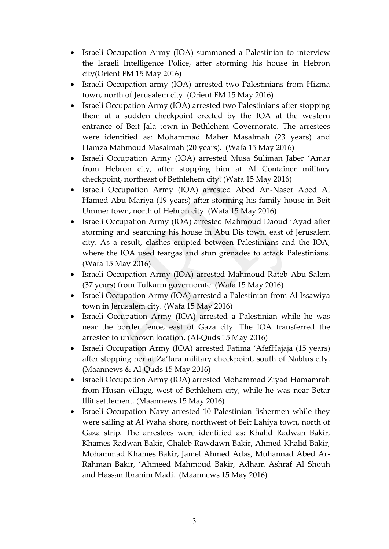- Israeli Occupation Army (IOA) summoned a Palestinian to interview the Israeli Intelligence Police, after storming his house in Hebron city(Orient FM 15 May 2016)
- Israeli Occupation army (IOA) arrested two Palestinians from Hizma town, north of Jerusalem city. (Orient FM 15 May 2016)
- Israeli Occupation Army (IOA) arrested two Palestinians after stopping them at a sudden checkpoint erected by the IOA at the western entrance of Beit Jala town in Bethlehem Governorate. The arrestees were identified as: Mohammad Maher Masalmah (23 years) and Hamza Mahmoud Masalmah (20 years). (Wafa 15 May 2016)
- Israeli Occupation Army (IOA) arrested Musa Suliman Jaber 'Amar from Hebron city, after stopping him at Al Container military checkpoint, northeast of Bethlehem city. (Wafa 15 May 2016)
- Israeli Occupation Army (IOA) arrested Abed An-Naser Abed Al Hamed Abu Mariya (19 years) after storming his family house in Beit Ummer town, north of Hebron city. (Wafa 15 May 2016)
- Israeli Occupation Army (IOA) arrested Mahmoud Daoud 'Ayad after storming and searching his house in Abu Dis town, east of Jerusalem city. As a result, clashes erupted between Palestinians and the IOA, where the IOA used teargas and stun grenades to attack Palestinians. (Wafa 15 May 2016)
- Israeli Occupation Army (IOA) arrested Mahmoud Rateb Abu Salem (37 years) from Tulkarm governorate. (Wafa 15 May 2016)
- Israeli Occupation Army (IOA) arrested a Palestinian from Al Issawiya town in Jerusalem city. (Wafa 15 May 2016)
- Israeli Occupation Army (IOA) arrested a Palestinian while he was near the border fence, east of Gaza city. The IOA transferred the arrestee to unknown location. (Al-Quds 15 May 2016)
- Israeli Occupation Army (IOA) arrested Fatima 'AfefHajaja (15 years) after stopping her at Za'tara military checkpoint, south of Nablus city. (Maannews & Al-Quds 15 May 2016)
- Israeli Occupation Army (IOA) arrested Mohammad Ziyad Hamamrah from Husan village, west of Bethlehem city, while he was near Betar Illit settlement. (Maannews 15 May 2016)
- Israeli Occupation Navy arrested 10 Palestinian fishermen while they were sailing at Al Waha shore, northwest of Beit Lahiya town, north of Gaza strip. The arrestees were identified as: Khalid Radwan Bakir, Khames Radwan Bakir, Ghaleb Rawdawn Bakir, Ahmed Khalid Bakir, Mohammad Khames Bakir, Jamel Ahmed Adas, Muhannad Abed Ar-Rahman Bakir, 'Ahmeed Mahmoud Bakir, Adham Ashraf Al Shouh and Hassan Ibrahim Madi. (Maannews 15 May 2016)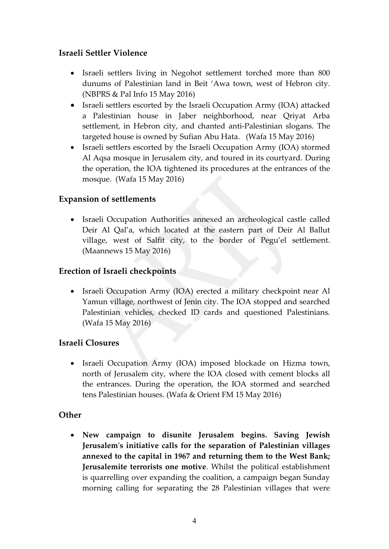### **Israeli Settler Violence**

- Israeli settlers living in Negohot settlement torched more than 800 dunums of Palestinian land in Beit 'Awa town, west of Hebron city. (NBPRS & Pal Info 15 May 2016)
- Israeli settlers escorted by the Israeli Occupation Army (IOA) attacked a Palestinian house in Jaber neighborhood, near Qriyat Arba settlement, in Hebron city, and chanted anti-Palestinian slogans. The targeted house is owned by Sufian Abu Hata. (Wafa 15 May 2016)
- Israeli settlers escorted by the Israeli Occupation Army (IOA) stormed Al Aqsa mosque in Jerusalem city, and toured in its courtyard. During the operation, the IOA tightened its procedures at the entrances of the mosque. (Wafa 15 May 2016)

#### **Expansion of settlements**

• Israeli Occupation Authorities annexed an archeological castle called Deir Al Qal'a, which located at the eastern part of Deir Al Ballut village, west of Salfit city, to the border of Pegu'el settlement. (Maannews 15 May 2016)

#### **Erection of Israeli checkpoints**

• Israeli Occupation Army (IOA) erected a military checkpoint near Al Yamun village, northwest of Jenin city. The IOA stopped and searched Palestinian vehicles, checked ID cards and questioned Palestinians. (Wafa 15 May 2016)

#### **Israeli Closures**

• Israeli Occupation Army (IOA) imposed blockade on Hizma town, north of Jerusalem city, where the IOA closed with cement blocks all the entrances. During the operation, the IOA stormed and searched tens Palestinian houses. (Wafa & Orient FM 15 May 2016)

#### **Other**

 **New campaign to disunite Jerusalem begins. Saving Jewish Jerusalem's initiative calls for the separation of Palestinian villages annexed to the capital in 1967 and returning them to the West Bank; Jerusalemite terrorists one motive**. Whilst the political establishment is quarrelling over expanding the coalition, a campaign began Sunday morning calling for separating the 28 Palestinian villages that were